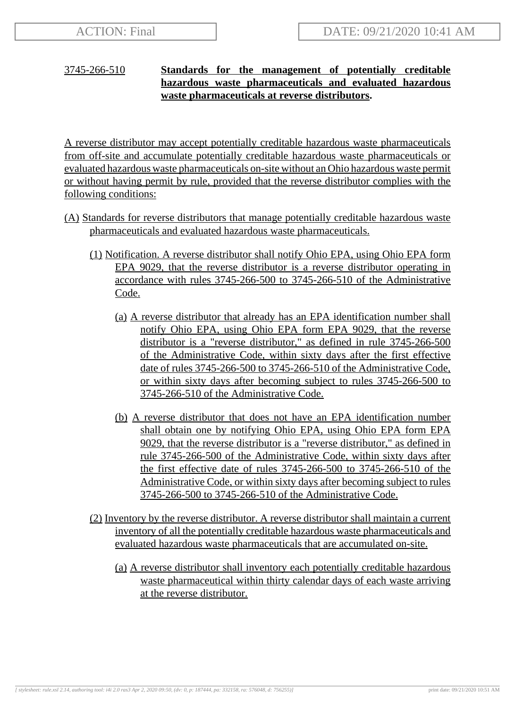## 3745-266-510 **Standards for the management of potentially creditable hazardous waste pharmaceuticals and evaluated hazardous waste pharmaceuticals at reverse distributors.**

A reverse distributor may accept potentially creditable hazardous waste pharmaceuticals from off-site and accumulate potentially creditable hazardous waste pharmaceuticals or evaluated hazardous waste pharmaceuticals on-site without an Ohio hazardous waste permit or without having permit by rule, provided that the reverse distributor complies with the following conditions:

- (A) Standards for reverse distributors that manage potentially creditable hazardous waste pharmaceuticals and evaluated hazardous waste pharmaceuticals.
	- (1) Notification. A reverse distributor shall notify Ohio EPA, using Ohio EPA form EPA 9029, that the reverse distributor is a reverse distributor operating in accordance with rules 3745-266-500 to 3745-266-510 of the Administrative Code.
		- (a) A reverse distributor that already has an EPA identification number shall notify Ohio EPA, using Ohio EPA form EPA 9029, that the reverse distributor is a "reverse distributor," as defined in rule 3745-266-500 of the Administrative Code, within sixty days after the first effective date of rules 3745-266-500 to 3745-266-510 of the Administrative Code, or within sixty days after becoming subject to rules 3745-266-500 to 3745-266-510 of the Administrative Code.
		- (b) A reverse distributor that does not have an EPA identification number shall obtain one by notifying Ohio EPA, using Ohio EPA form EPA 9029, that the reverse distributor is a "reverse distributor," as defined in rule 3745-266-500 of the Administrative Code, within sixty days after the first effective date of rules 3745-266-500 to 3745-266-510 of the Administrative Code, or within sixty days after becoming subject to rules 3745-266-500 to 3745-266-510 of the Administrative Code.
	- (2) Inventory by the reverse distributor. A reverse distributor shall maintain a current inventory of all the potentially creditable hazardous waste pharmaceuticals and evaluated hazardous waste pharmaceuticals that are accumulated on-site.
		- (a) A reverse distributor shall inventory each potentially creditable hazardous waste pharmaceutical within thirty calendar days of each waste arriving at the reverse distributor.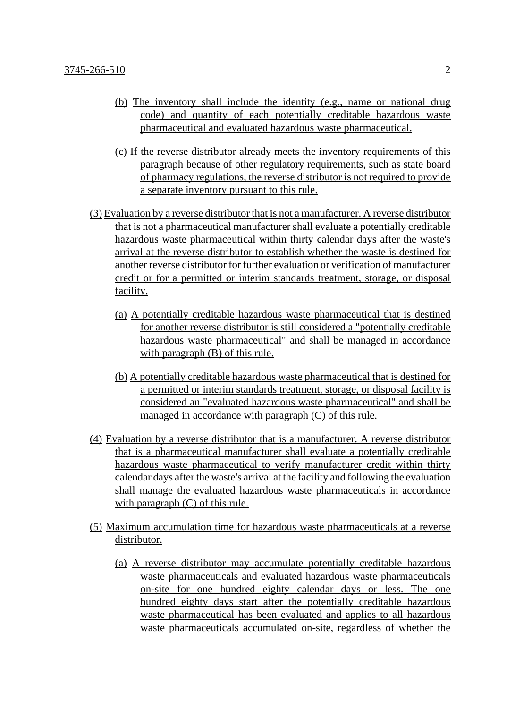- (b) The inventory shall include the identity (e.g., name or national drug code) and quantity of each potentially creditable hazardous waste pharmaceutical and evaluated hazardous waste pharmaceutical.
- (c) If the reverse distributor already meets the inventory requirements of this paragraph because of other regulatory requirements, such as state board of pharmacy regulations, the reverse distributor is not required to provide a separate inventory pursuant to this rule.
- (3) Evaluation by a reverse distributor that is not a manufacturer. A reverse distributor that is not a pharmaceutical manufacturer shall evaluate a potentially creditable hazardous waste pharmaceutical within thirty calendar days after the waste's arrival at the reverse distributor to establish whether the waste is destined for another reverse distributor for further evaluation or verification of manufacturer credit or for a permitted or interim standards treatment, storage, or disposal facility.
	- (a) A potentially creditable hazardous waste pharmaceutical that is destined for another reverse distributor is still considered a "potentially creditable hazardous waste pharmaceutical" and shall be managed in accordance with paragraph (B) of this rule.
	- (b) A potentially creditable hazardous waste pharmaceutical that is destined for a permitted or interim standards treatment, storage, or disposal facility is considered an "evaluated hazardous waste pharmaceutical" and shall be managed in accordance with paragraph (C) of this rule.
- (4) Evaluation by a reverse distributor that is a manufacturer. A reverse distributor that is a pharmaceutical manufacturer shall evaluate a potentially creditable hazardous waste pharmaceutical to verify manufacturer credit within thirty calendar days after the waste's arrival at the facility and following the evaluation shall manage the evaluated hazardous waste pharmaceuticals in accordance with paragraph (C) of this rule.
- (5) Maximum accumulation time for hazardous waste pharmaceuticals at a reverse distributor.
	- (a) A reverse distributor may accumulate potentially creditable hazardous waste pharmaceuticals and evaluated hazardous waste pharmaceuticals on-site for one hundred eighty calendar days or less. The one hundred eighty days start after the potentially creditable hazardous waste pharmaceutical has been evaluated and applies to all hazardous waste pharmaceuticals accumulated on-site, regardless of whether the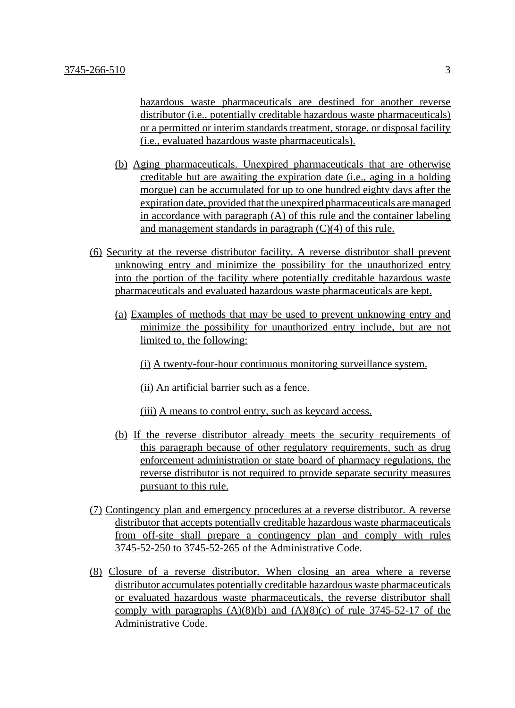hazardous waste pharmaceuticals are destined for another reverse distributor (i.e., potentially creditable hazardous waste pharmaceuticals) or a permitted or interim standards treatment, storage, or disposal facility (i.e., evaluated hazardous waste pharmaceuticals).

- (b) Aging pharmaceuticals. Unexpired pharmaceuticals that are otherwise creditable but are awaiting the expiration date (i.e., aging in a holding morgue) can be accumulated for up to one hundred eighty days after the expiration date, provided that the unexpired pharmaceuticals are managed in accordance with paragraph (A) of this rule and the container labeling and management standards in paragraph (C)(4) of this rule.
- (6) Security at the reverse distributor facility. A reverse distributor shall prevent unknowing entry and minimize the possibility for the unauthorized entry into the portion of the facility where potentially creditable hazardous waste pharmaceuticals and evaluated hazardous waste pharmaceuticals are kept.
	- (a) Examples of methods that may be used to prevent unknowing entry and minimize the possibility for unauthorized entry include, but are not limited to, the following:
		- (i) A twenty-four-hour continuous monitoring surveillance system.
		- (ii) An artificial barrier such as a fence.
		- (iii) A means to control entry, such as keycard access.
	- (b) If the reverse distributor already meets the security requirements of this paragraph because of other regulatory requirements, such as drug enforcement administration or state board of pharmacy regulations, the reverse distributor is not required to provide separate security measures pursuant to this rule.
- (7) Contingency plan and emergency procedures at a reverse distributor. A reverse distributor that accepts potentially creditable hazardous waste pharmaceuticals from off-site shall prepare a contingency plan and comply with rules 3745-52-250 to 3745-52-265 of the Administrative Code.
- (8) Closure of a reverse distributor. When closing an area where a reverse distributor accumulates potentially creditable hazardous waste pharmaceuticals or evaluated hazardous waste pharmaceuticals, the reverse distributor shall comply with paragraphs  $(A)(8)(b)$  and  $(A)(8)(c)$  of rule 3745-52-17 of the Administrative Code.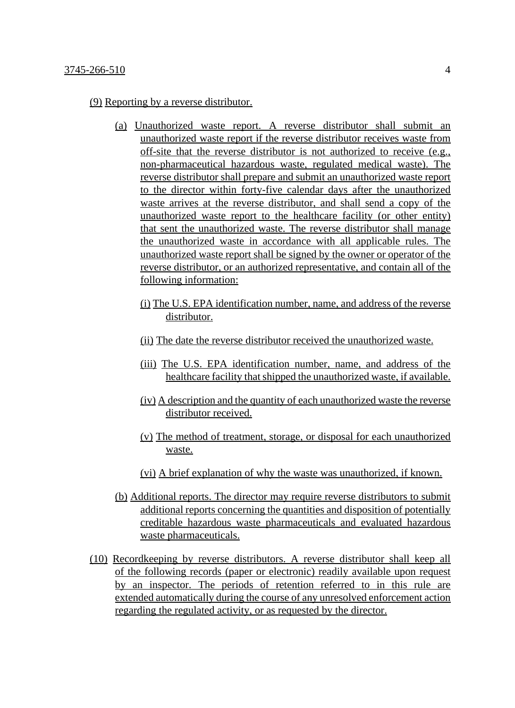(9) Reporting by a reverse distributor.

- (a) Unauthorized waste report. A reverse distributor shall submit an unauthorized waste report if the reverse distributor receives waste from off-site that the reverse distributor is not authorized to receive (e.g., non-pharmaceutical hazardous waste, regulated medical waste). The reverse distributor shall prepare and submit an unauthorized waste report to the director within forty-five calendar days after the unauthorized waste arrives at the reverse distributor, and shall send a copy of the unauthorized waste report to the healthcare facility (or other entity) that sent the unauthorized waste. The reverse distributor shall manage the unauthorized waste in accordance with all applicable rules. The unauthorized waste report shall be signed by the owner or operator of the reverse distributor, or an authorized representative, and contain all of the following information:
	- (i) The U.S. EPA identification number, name, and address of the reverse distributor.
	- (ii) The date the reverse distributor received the unauthorized waste.
	- (iii) The U.S. EPA identification number, name, and address of the healthcare facility that shipped the unauthorized waste, if available.
	- (iv) A description and the quantity of each unauthorized waste the reverse distributor received.
	- (v) The method of treatment, storage, or disposal for each unauthorized waste.
	- (vi) A brief explanation of why the waste was unauthorized, if known.
- (b) Additional reports. The director may require reverse distributors to submit additional reports concerning the quantities and disposition of potentially creditable hazardous waste pharmaceuticals and evaluated hazardous waste pharmaceuticals.
- (10) Recordkeeping by reverse distributors. A reverse distributor shall keep all of the following records (paper or electronic) readily available upon request by an inspector. The periods of retention referred to in this rule are extended automatically during the course of any unresolved enforcement action regarding the regulated activity, or as requested by the director.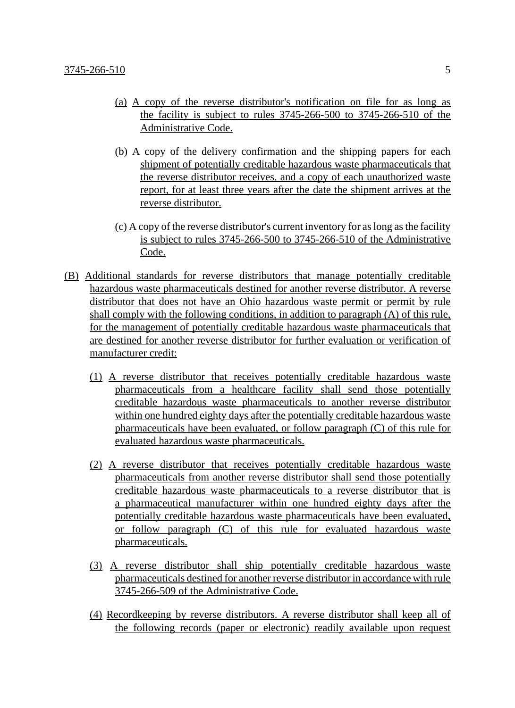- (a) A copy of the reverse distributor's notification on file for as long as the facility is subject to rules 3745-266-500 to 3745-266-510 of the Administrative Code.
- (b) A copy of the delivery confirmation and the shipping papers for each shipment of potentially creditable hazardous waste pharmaceuticals that the reverse distributor receives, and a copy of each unauthorized waste report, for at least three years after the date the shipment arrives at the reverse distributor.
- (c) A copy of the reverse distributor's current inventory for as long as the facility is subject to rules 3745-266-500 to 3745-266-510 of the Administrative Code.
- (B) Additional standards for reverse distributors that manage potentially creditable hazardous waste pharmaceuticals destined for another reverse distributor. A reverse distributor that does not have an Ohio hazardous waste permit or permit by rule shall comply with the following conditions, in addition to paragraph (A) of this rule, for the management of potentially creditable hazardous waste pharmaceuticals that are destined for another reverse distributor for further evaluation or verification of manufacturer credit:
	- (1) A reverse distributor that receives potentially creditable hazardous waste pharmaceuticals from a healthcare facility shall send those potentially creditable hazardous waste pharmaceuticals to another reverse distributor within one hundred eighty days after the potentially creditable hazardous waste pharmaceuticals have been evaluated, or follow paragraph (C) of this rule for evaluated hazardous waste pharmaceuticals.
	- (2) A reverse distributor that receives potentially creditable hazardous waste pharmaceuticals from another reverse distributor shall send those potentially creditable hazardous waste pharmaceuticals to a reverse distributor that is a pharmaceutical manufacturer within one hundred eighty days after the potentially creditable hazardous waste pharmaceuticals have been evaluated, or follow paragraph (C) of this rule for evaluated hazardous waste pharmaceuticals.
	- (3) A reverse distributor shall ship potentially creditable hazardous waste pharmaceuticals destined for another reverse distributor in accordance with rule 3745-266-509 of the Administrative Code.
	- (4) Recordkeeping by reverse distributors. A reverse distributor shall keep all of the following records (paper or electronic) readily available upon request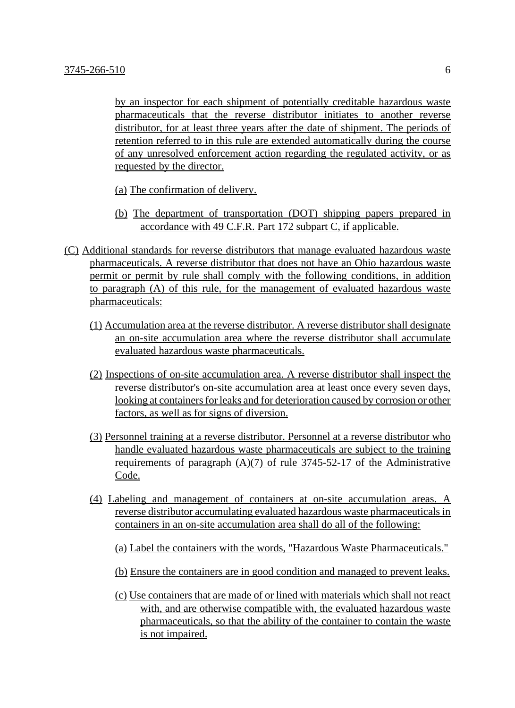by an inspector for each shipment of potentially creditable hazardous waste pharmaceuticals that the reverse distributor initiates to another reverse distributor, for at least three years after the date of shipment. The periods of retention referred to in this rule are extended automatically during the course of any unresolved enforcement action regarding the regulated activity, or as requested by the director.

- (a) The confirmation of delivery.
- (b) The department of transportation (DOT) shipping papers prepared in accordance with 49 C.F.R. Part 172 subpart C, if applicable.
- (C) Additional standards for reverse distributors that manage evaluated hazardous waste pharmaceuticals. A reverse distributor that does not have an Ohio hazardous waste permit or permit by rule shall comply with the following conditions, in addition to paragraph (A) of this rule, for the management of evaluated hazardous waste pharmaceuticals:
	- (1) Accumulation area at the reverse distributor. A reverse distributor shall designate an on-site accumulation area where the reverse distributor shall accumulate evaluated hazardous waste pharmaceuticals.
	- (2) Inspections of on-site accumulation area. A reverse distributor shall inspect the reverse distributor's on-site accumulation area at least once every seven days, looking at containers for leaks and for deterioration caused by corrosion or other factors, as well as for signs of diversion.
	- (3) Personnel training at a reverse distributor. Personnel at a reverse distributor who handle evaluated hazardous waste pharmaceuticals are subject to the training requirements of paragraph  $(A)(7)$  of rule 3745-52-17 of the Administrative Code.
	- (4) Labeling and management of containers at on-site accumulation areas. A reverse distributor accumulating evaluated hazardous waste pharmaceuticals in containers in an on-site accumulation area shall do all of the following:

(a) Label the containers with the words, "Hazardous Waste Pharmaceuticals."

- (b) Ensure the containers are in good condition and managed to prevent leaks.
- (c) Use containers that are made of or lined with materials which shall not react with, and are otherwise compatible with, the evaluated hazardous waste pharmaceuticals, so that the ability of the container to contain the waste is not impaired.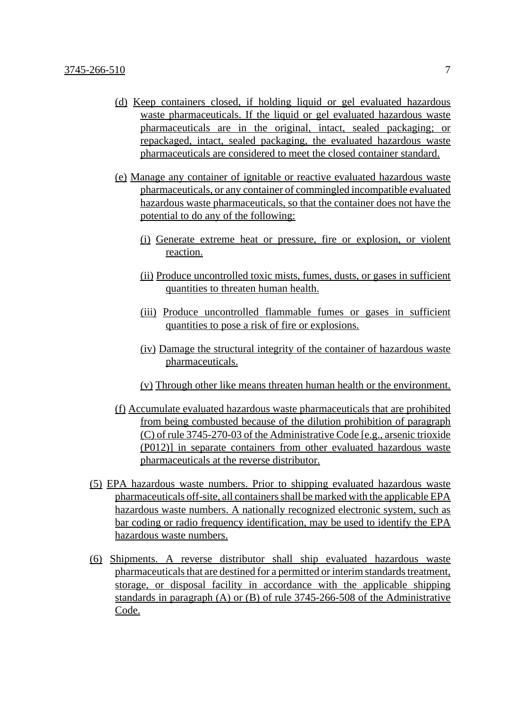- (d) Keep containers closed, if holding liquid or gel evaluated hazardous waste pharmaceuticals. If the liquid or gel evaluated hazardous waste pharmaceuticals are in the original, intact, sealed packaging; or repackaged, intact, sealed packaging, the evaluated hazardous waste pharmaceuticals are considered to meet the closed container standard.
- (e) Manage any container of ignitable or reactive evaluated hazardous waste pharmaceuticals, or any container of commingled incompatible evaluated hazardous waste pharmaceuticals, so that the container does not have the potential to do any of the following:
	- (i) Generate extreme heat or pressure, fire or explosion, or violent reaction.
	- (ii) Produce uncontrolled toxic mists, fumes, dusts, or gases in sufficient quantities to threaten human health.
	- (iii) Produce uncontrolled flammable fumes or gases in sufficient quantities to pose a risk of fire or explosions.
	- (iv) Damage the structural integrity of the container of hazardous waste pharmaceuticals.
	- (v) Through other like means threaten human health or the environment.
- (f) Accumulate evaluated hazardous waste pharmaceuticals that are prohibited from being combusted because of the dilution prohibition of paragraph (C) of rule 3745-270-03 of the Administrative Code [e.g., arsenic trioxide (P012)] in separate containers from other evaluated hazardous waste pharmaceuticals at the reverse distributor.
- (5) EPA hazardous waste numbers. Prior to shipping evaluated hazardous waste pharmaceuticals off-site, all containers shall be marked with the applicable EPA hazardous waste numbers. A nationally recognized electronic system, such as bar coding or radio frequency identification, may be used to identify the EPA hazardous waste numbers.
- (6) Shipments. A reverse distributor shall ship evaluated hazardous waste pharmaceuticals that are destined for a permitted or interim standards treatment, storage, or disposal facility in accordance with the applicable shipping standards in paragraph (A) or (B) of rule 3745-266-508 of the Administrative Code.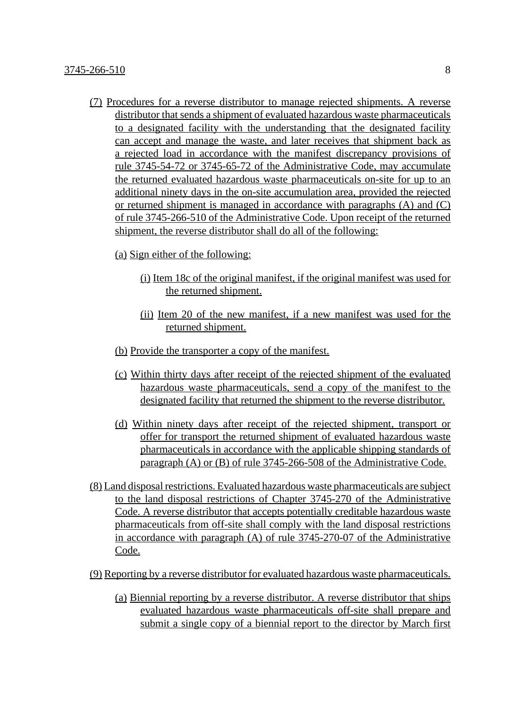- (7) Procedures for a reverse distributor to manage rejected shipments. A reverse distributor that sends a shipment of evaluated hazardous waste pharmaceuticals to a designated facility with the understanding that the designated facility can accept and manage the waste, and later receives that shipment back as a rejected load in accordance with the manifest discrepancy provisions of rule 3745-54-72 or 3745-65-72 of the Administrative Code, may accumulate the returned evaluated hazardous waste pharmaceuticals on-site for up to an additional ninety days in the on-site accumulation area, provided the rejected or returned shipment is managed in accordance with paragraphs (A) and (C) of rule 3745-266-510 of the Administrative Code. Upon receipt of the returned shipment, the reverse distributor shall do all of the following:
	- (a) Sign either of the following:
		- (i) Item 18c of the original manifest, if the original manifest was used for the returned shipment.
		- (ii) Item 20 of the new manifest, if a new manifest was used for the returned shipment.
	- (b) Provide the transporter a copy of the manifest.
	- (c) Within thirty days after receipt of the rejected shipment of the evaluated hazardous waste pharmaceuticals, send a copy of the manifest to the designated facility that returned the shipment to the reverse distributor.
	- (d) Within ninety days after receipt of the rejected shipment, transport or offer for transport the returned shipment of evaluated hazardous waste pharmaceuticals in accordance with the applicable shipping standards of paragraph (A) or (B) of rule 3745-266-508 of the Administrative Code.
- (8) Land disposal restrictions. Evaluated hazardous waste pharmaceuticals are subject to the land disposal restrictions of Chapter 3745-270 of the Administrative Code. A reverse distributor that accepts potentially creditable hazardous waste pharmaceuticals from off-site shall comply with the land disposal restrictions in accordance with paragraph (A) of rule 3745-270-07 of the Administrative Code.
- (9) Reporting by a reverse distributor for evaluated hazardous waste pharmaceuticals.
	- (a) Biennial reporting by a reverse distributor. A reverse distributor that ships evaluated hazardous waste pharmaceuticals off-site shall prepare and submit a single copy of a biennial report to the director by March first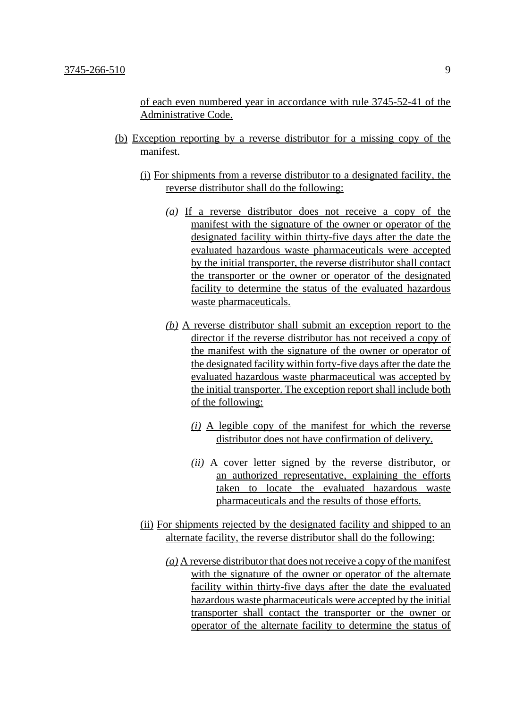of each even numbered year in accordance with rule 3745-52-41 of the Administrative Code.

- (b) Exception reporting by a reverse distributor for a missing copy of the manifest.
	- (i) For shipments from a reverse distributor to a designated facility, the reverse distributor shall do the following:
		- *(a)* If a reverse distributor does not receive a copy of the manifest with the signature of the owner or operator of the designated facility within thirty-five days after the date the evaluated hazardous waste pharmaceuticals were accepted by the initial transporter, the reverse distributor shall contact the transporter or the owner or operator of the designated facility to determine the status of the evaluated hazardous waste pharmaceuticals.
		- *(b)* A reverse distributor shall submit an exception report to the director if the reverse distributor has not received a copy of the manifest with the signature of the owner or operator of the designated facility within forty-five days after the date the evaluated hazardous waste pharmaceutical was accepted by the initial transporter. The exception report shall include both of the following:
			- *(i)* A legible copy of the manifest for which the reverse distributor does not have confirmation of delivery.
			- *(ii)* A cover letter signed by the reverse distributor, or an authorized representative, explaining the efforts taken to locate the evaluated hazardous waste pharmaceuticals and the results of those efforts.
	- (ii) For shipments rejected by the designated facility and shipped to an alternate facility, the reverse distributor shall do the following:
		- *(a)* A reverse distributor that does not receive a copy of the manifest with the signature of the owner or operator of the alternate facility within thirty-five days after the date the evaluated hazardous waste pharmaceuticals were accepted by the initial transporter shall contact the transporter or the owner or operator of the alternate facility to determine the status of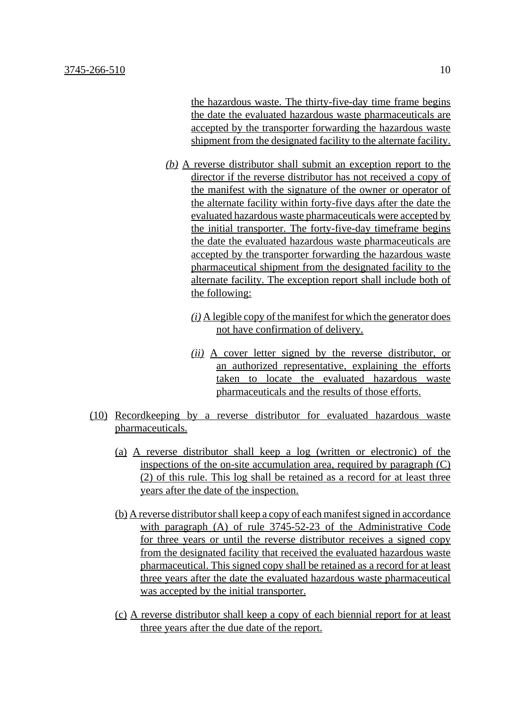the hazardous waste. The thirty-five-day time frame begins the date the evaluated hazardous waste pharmaceuticals are accepted by the transporter forwarding the hazardous waste shipment from the designated facility to the alternate facility.

- *(b)* A reverse distributor shall submit an exception report to the director if the reverse distributor has not received a copy of the manifest with the signature of the owner or operator of the alternate facility within forty-five days after the date the evaluated hazardous waste pharmaceuticals were accepted by the initial transporter. The forty-five-day timeframe begins the date the evaluated hazardous waste pharmaceuticals are accepted by the transporter forwarding the hazardous waste pharmaceutical shipment from the designated facility to the alternate facility. The exception report shall include both of the following:
	- *(i)* A legible copy of the manifest for which the generator does not have confirmation of delivery.
	- *(ii)* A cover letter signed by the reverse distributor, or an authorized representative, explaining the efforts taken to locate the evaluated hazardous waste pharmaceuticals and the results of those efforts.
- (10) Recordkeeping by a reverse distributor for evaluated hazardous waste pharmaceuticals.
	- (a) A reverse distributor shall keep a log (written or electronic) of the inspections of the on-site accumulation area, required by paragraph  $(C)$ (2) of this rule. This log shall be retained as a record for at least three years after the date of the inspection.
	- (b) A reverse distributor shall keep a copy of each manifest signed in accordance with paragraph (A) of rule 3745-52-23 of the Administrative Code for three years or until the reverse distributor receives a signed copy from the designated facility that received the evaluated hazardous waste pharmaceutical. This signed copy shall be retained as a record for at least three years after the date the evaluated hazardous waste pharmaceutical was accepted by the initial transporter.
	- (c) A reverse distributor shall keep a copy of each biennial report for at least three years after the due date of the report.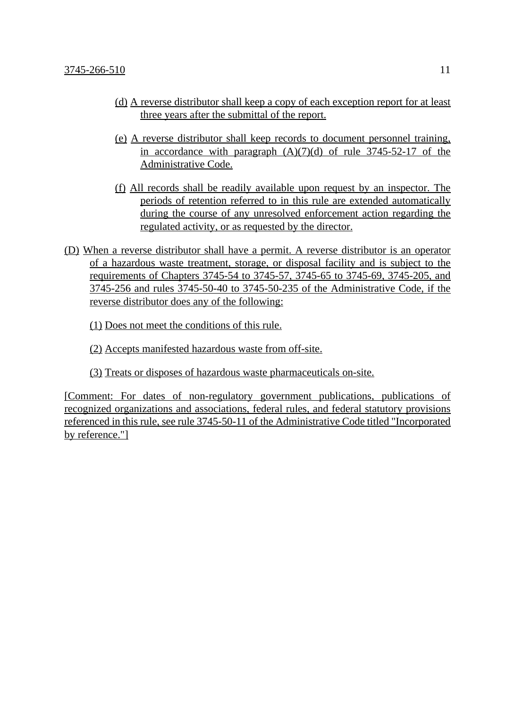- (d) A reverse distributor shall keep a copy of each exception report for at least three years after the submittal of the report.
- (e) A reverse distributor shall keep records to document personnel training, in accordance with paragraph  $(A)(7)(d)$  of rule 3745-52-17 of the Administrative Code.
- (f) All records shall be readily available upon request by an inspector. The periods of retention referred to in this rule are extended automatically during the course of any unresolved enforcement action regarding the regulated activity, or as requested by the director.
- (D) When a reverse distributor shall have a permit. A reverse distributor is an operator of a hazardous waste treatment, storage, or disposal facility and is subject to the requirements of Chapters 3745-54 to 3745-57, 3745-65 to 3745-69, 3745-205, and 3745-256 and rules 3745-50-40 to 3745-50-235 of the Administrative Code, if the reverse distributor does any of the following:

(1) Does not meet the conditions of this rule.

(2) Accepts manifested hazardous waste from off-site.

(3) Treats or disposes of hazardous waste pharmaceuticals on-site.

[Comment: For dates of non-regulatory government publications, publications of recognized organizations and associations, federal rules, and federal statutory provisions referenced in this rule, see rule 3745-50-11 of the Administrative Code titled "Incorporated by reference."]